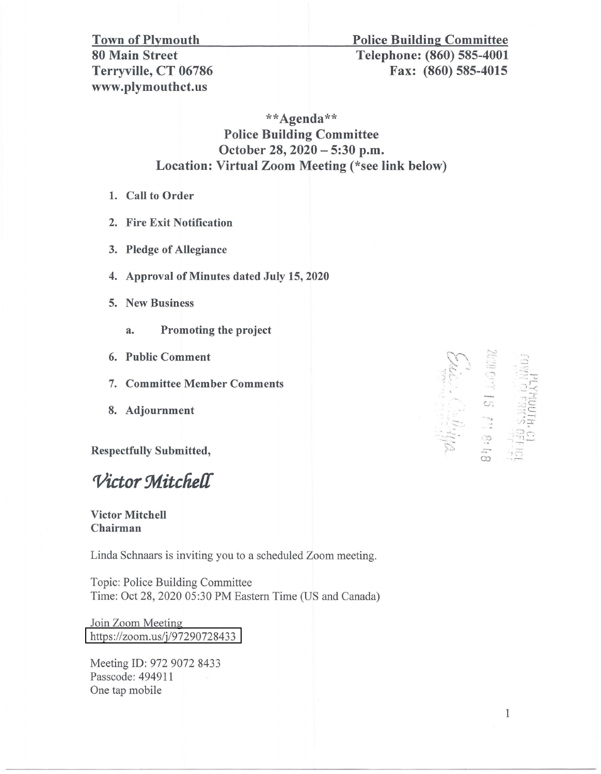## www.plymouthct.us

## Town of Plymouth Police Building Committee 80 Main Street Telephone: (860) 585-4001 Terryville, CT 06786 Fax: (860) 585-4015

\*\*Agenda\*\* Police Building Committee October 28, 2020 - 5:30 p.m. Location: Virtual Zoom Meeting (\*see link below)

- 1. Call to Order
- 2. Fire Exit Notification
- 3. Pledge of Allegiance
- 4. Approval of Minutes dated July 15, 2020
- 5. New Business
	- a. Promoting the project
- 6. Public Comment
- 7. Committee Member Comments
- 8. Adjournment

Respectfully Submitted,

*Victor Mitchell* 

## Victor Mitchell Chairman

Linda Schnaars is inviting you to a scheduled Zoom meeting.

Topic: Police Building Committee Time: Oct 28, 2020 05:30 PM Eastern Time (US and Canada)

Join Zoom Meeting https://zoom.us/j/97290728433

Meeting ID: 972 9072 8433 Passcode: 494911 One tap mobile

*c.........-..*  $\mathcal{L}$  $\mathcal{L}_{\mathcal{B}}$  $i\sum_{i}$  .  $\overline{c}$  :  $\mathbb{Z} \oplus \mathbb{Z}$  :  $\mathbb{Z} \oplus \mathbb{Z}$ co